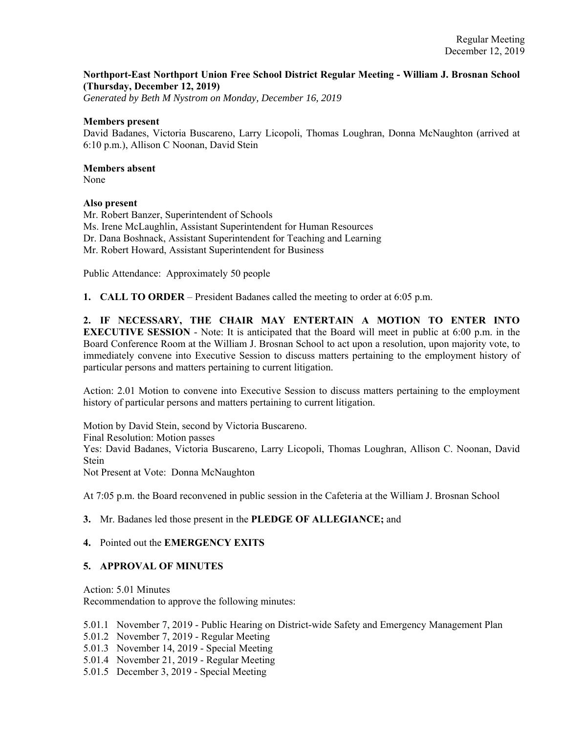# **Northport-East Northport Union Free School District Regular Meeting - William J. Brosnan School (Thursday, December 12, 2019)**

*Generated by Beth M Nystrom on Monday, December 16, 2019*

#### **Members present**

David Badanes, Victoria Buscareno, Larry Licopoli, Thomas Loughran, Donna McNaughton (arrived at 6:10 p.m.), Allison C Noonan, David Stein

# **Members absent**

None

#### **Also present**

Mr. Robert Banzer, Superintendent of Schools Ms. Irene McLaughlin, Assistant Superintendent for Human Resources Dr. Dana Boshnack, Assistant Superintendent for Teaching and Learning Mr. Robert Howard, Assistant Superintendent for Business

Public Attendance: Approximately 50 people

**1. CALL TO ORDER** – President Badanes called the meeting to order at 6:05 p.m.

**2. IF NECESSARY, THE CHAIR MAY ENTERTAIN A MOTION TO ENTER INTO EXECUTIVE SESSION** - Note: It is anticipated that the Board will meet in public at 6:00 p.m. in the Board Conference Room at the William J. Brosnan School to act upon a resolution, upon majority vote, to immediately convene into Executive Session to discuss matters pertaining to the employment history of particular persons and matters pertaining to current litigation.

Action: 2.01 Motion to convene into Executive Session to discuss matters pertaining to the employment history of particular persons and matters pertaining to current litigation.

Motion by David Stein, second by Victoria Buscareno. Final Resolution: Motion passes Yes: David Badanes, Victoria Buscareno, Larry Licopoli, Thomas Loughran, Allison C. Noonan, David Stein Not Present at Vote: Donna McNaughton

At 7:05 p.m. the Board reconvened in public session in the Cafeteria at the William J. Brosnan School

# **3.** Mr. Badanes led those present in the **PLEDGE OF ALLEGIANCE;** and

# **4.** Pointed out the **EMERGENCY EXITS**

# **5. APPROVAL OF MINUTES**

Action: 5.01 Minutes

Recommendation to approve the following minutes:

5.01.1 November 7, 2019 - Public Hearing on District-wide Safety and Emergency Management Plan

5.01.2 November 7, 2019 - Regular Meeting

- 5.01.3 November 14, 2019 Special Meeting
- 5.01.4 November 21, 2019 Regular Meeting
- 5.01.5 December 3, 2019 Special Meeting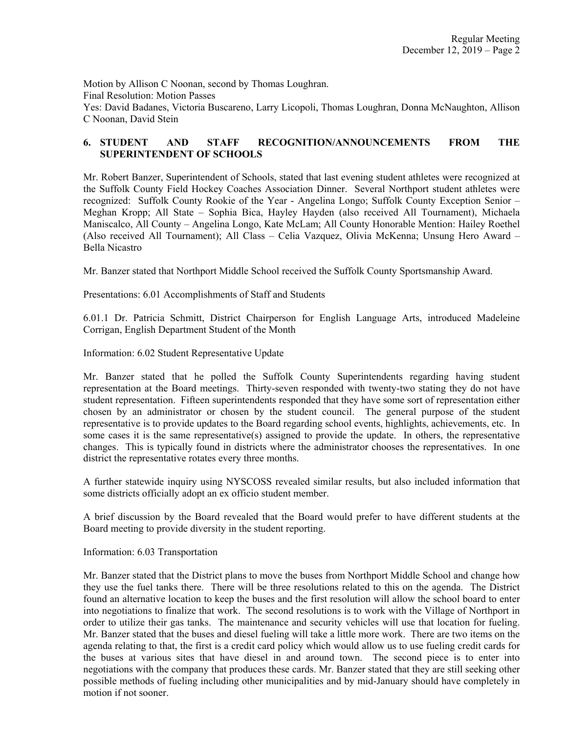Motion by Allison C Noonan, second by Thomas Loughran. Final Resolution: Motion Passes Yes: David Badanes, Victoria Buscareno, Larry Licopoli, Thomas Loughran, Donna McNaughton, Allison C Noonan, David Stein

# **6. STUDENT AND STAFF RECOGNITION/ANNOUNCEMENTS FROM THE SUPERINTENDENT OF SCHOOLS**

Mr. Robert Banzer, Superintendent of Schools, stated that last evening student athletes were recognized at the Suffolk County Field Hockey Coaches Association Dinner. Several Northport student athletes were recognized: Suffolk County Rookie of the Year - Angelina Longo; Suffolk County Exception Senior – Meghan Kropp; All State – Sophia Bica, Hayley Hayden (also received All Tournament), Michaela Maniscalco, All County – Angelina Longo, Kate McLam; All County Honorable Mention: Hailey Roethel (Also received All Tournament); All Class – Celia Vazquez, Olivia McKenna; Unsung Hero Award – Bella Nicastro

Mr. Banzer stated that Northport Middle School received the Suffolk County Sportsmanship Award.

Presentations: 6.01 Accomplishments of Staff and Students

6.01.1 Dr. Patricia Schmitt, District Chairperson for English Language Arts, introduced Madeleine Corrigan, English Department Student of the Month

Information: 6.02 Student Representative Update

Mr. Banzer stated that he polled the Suffolk County Superintendents regarding having student representation at the Board meetings. Thirty-seven responded with twenty-two stating they do not have student representation. Fifteen superintendents responded that they have some sort of representation either chosen by an administrator or chosen by the student council. The general purpose of the student representative is to provide updates to the Board regarding school events, highlights, achievements, etc. In some cases it is the same representative(s) assigned to provide the update. In others, the representative changes. This is typically found in districts where the administrator chooses the representatives. In one district the representative rotates every three months.

A further statewide inquiry using NYSCOSS revealed similar results, but also included information that some districts officially adopt an ex officio student member.

A brief discussion by the Board revealed that the Board would prefer to have different students at the Board meeting to provide diversity in the student reporting.

Information: 6.03 Transportation

Mr. Banzer stated that the District plans to move the buses from Northport Middle School and change how they use the fuel tanks there. There will be three resolutions related to this on the agenda. The District found an alternative location to keep the buses and the first resolution will allow the school board to enter into negotiations to finalize that work. The second resolutions is to work with the Village of Northport in order to utilize their gas tanks. The maintenance and security vehicles will use that location for fueling. Mr. Banzer stated that the buses and diesel fueling will take a little more work. There are two items on the agenda relating to that, the first is a credit card policy which would allow us to use fueling credit cards for the buses at various sites that have diesel in and around town. The second piece is to enter into negotiations with the company that produces these cards. Mr. Banzer stated that they are still seeking other possible methods of fueling including other municipalities and by mid-January should have completely in motion if not sooner.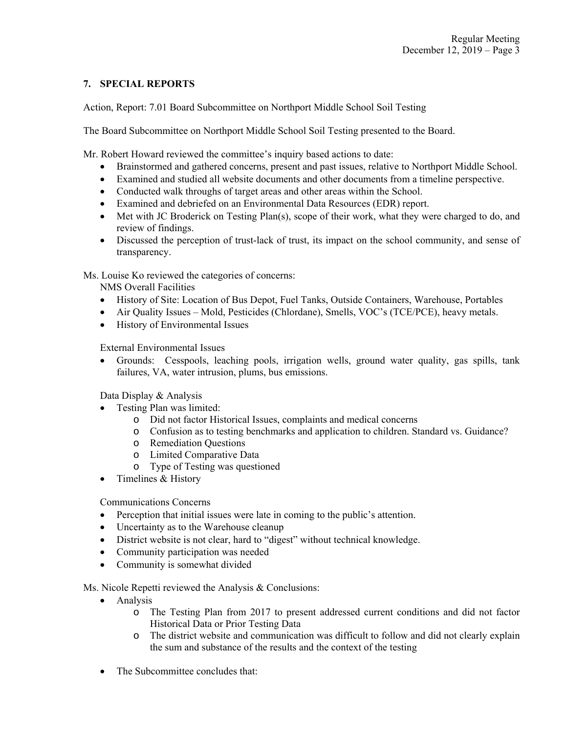# **7. SPECIAL REPORTS**

Action, Report: 7.01 Board Subcommittee on Northport Middle School Soil Testing

The Board Subcommittee on Northport Middle School Soil Testing presented to the Board.

Mr. Robert Howard reviewed the committee's inquiry based actions to date:

- Brainstormed and gathered concerns, present and past issues, relative to Northport Middle School.
- Examined and studied all website documents and other documents from a timeline perspective.
- Conducted walk throughs of target areas and other areas within the School.
- Examined and debriefed on an Environmental Data Resources (EDR) report.
- Met with JC Broderick on Testing Plan(s), scope of their work, what they were charged to do, and review of findings.
- Discussed the perception of trust-lack of trust, its impact on the school community, and sense of transparency.

Ms. Louise Ko reviewed the categories of concerns:

NMS Overall Facilities

- History of Site: Location of Bus Depot, Fuel Tanks, Outside Containers, Warehouse, Portables
- Air Quality Issues Mold, Pesticides (Chlordane), Smells, VOC's (TCE/PCE), heavy metals.
- History of Environmental Issues

External Environmental Issues

 Grounds: Cesspools, leaching pools, irrigation wells, ground water quality, gas spills, tank failures, VA, water intrusion, plums, bus emissions.

Data Display & Analysis

- Testing Plan was limited:
	- o Did not factor Historical Issues, complaints and medical concerns
	- o Confusion as to testing benchmarks and application to children. Standard vs. Guidance?
	- o Remediation Questions
	- o Limited Comparative Data
	- o Type of Testing was questioned
- Timelines & History

Communications Concerns

- Perception that initial issues were late in coming to the public's attention.
- Uncertainty as to the Warehouse cleanup
- District website is not clear, hard to "digest" without technical knowledge.
- Community participation was needed
- Community is somewhat divided

Ms. Nicole Repetti reviewed the Analysis & Conclusions:

- Analysis
	- o The Testing Plan from 2017 to present addressed current conditions and did not factor Historical Data or Prior Testing Data
	- o The district website and communication was difficult to follow and did not clearly explain the sum and substance of the results and the context of the testing
- The Subcommittee concludes that: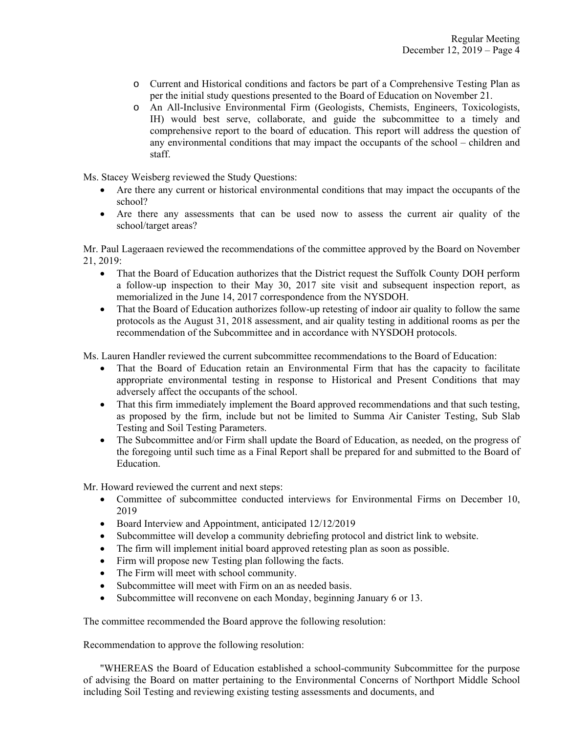- o Current and Historical conditions and factors be part of a Comprehensive Testing Plan as per the initial study questions presented to the Board of Education on November 21.
- o An All-Inclusive Environmental Firm (Geologists, Chemists, Engineers, Toxicologists, IH) would best serve, collaborate, and guide the subcommittee to a timely and comprehensive report to the board of education. This report will address the question of any environmental conditions that may impact the occupants of the school – children and staff.

Ms. Stacey Weisberg reviewed the Study Questions:

- Are there any current or historical environmental conditions that may impact the occupants of the school?
- Are there any assessments that can be used now to assess the current air quality of the school/target areas?

Mr. Paul Lageraaen reviewed the recommendations of the committee approved by the Board on November 21, 2019:

- That the Board of Education authorizes that the District request the Suffolk County DOH perform a follow-up inspection to their May 30, 2017 site visit and subsequent inspection report, as memorialized in the June 14, 2017 correspondence from the NYSDOH.
- That the Board of Education authorizes follow-up retesting of indoor air quality to follow the same protocols as the August 31, 2018 assessment, and air quality testing in additional rooms as per the recommendation of the Subcommittee and in accordance with NYSDOH protocols.

Ms. Lauren Handler reviewed the current subcommittee recommendations to the Board of Education:

- That the Board of Education retain an Environmental Firm that has the capacity to facilitate appropriate environmental testing in response to Historical and Present Conditions that may adversely affect the occupants of the school.
- That this firm immediately implement the Board approved recommendations and that such testing, as proposed by the firm, include but not be limited to Summa Air Canister Testing, Sub Slab Testing and Soil Testing Parameters.
- The Subcommittee and/or Firm shall update the Board of Education, as needed, on the progress of the foregoing until such time as a Final Report shall be prepared for and submitted to the Board of Education.

Mr. Howard reviewed the current and next steps:

- Committee of subcommittee conducted interviews for Environmental Firms on December 10, 2019
- Board Interview and Appointment, anticipated 12/12/2019
- Subcommittee will develop a community debriefing protocol and district link to website.
- The firm will implement initial board approved retesting plan as soon as possible.
- Firm will propose new Testing plan following the facts.
- The Firm will meet with school community.
- Subcommittee will meet with Firm on an as needed basis.
- Subcommittee will reconvene on each Monday, beginning January 6 or 13.

The committee recommended the Board approve the following resolution:

Recommendation to approve the following resolution:

 "WHEREAS the Board of Education established a school-community Subcommittee for the purpose of advising the Board on matter pertaining to the Environmental Concerns of Northport Middle School including Soil Testing and reviewing existing testing assessments and documents, and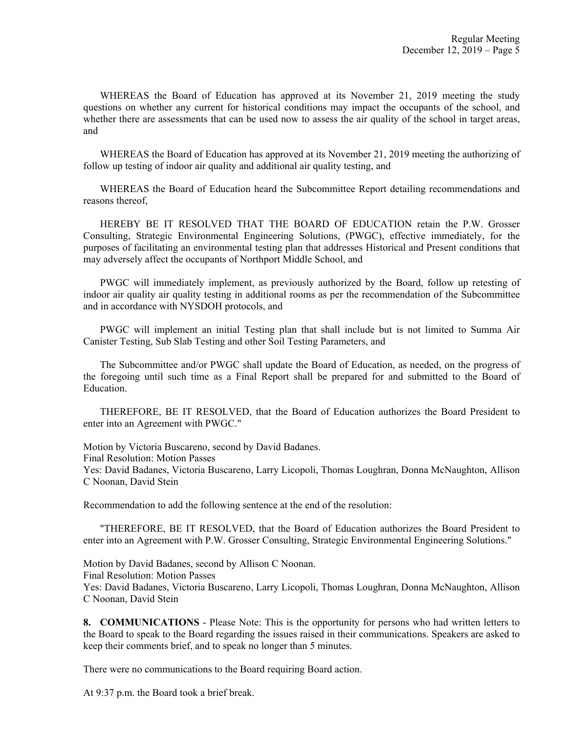WHEREAS the Board of Education has approved at its November 21, 2019 meeting the study questions on whether any current for historical conditions may impact the occupants of the school, and whether there are assessments that can be used now to assess the air quality of the school in target areas, and

 WHEREAS the Board of Education has approved at its November 21, 2019 meeting the authorizing of follow up testing of indoor air quality and additional air quality testing, and

 WHEREAS the Board of Education heard the Subcommittee Report detailing recommendations and reasons thereof,

 HEREBY BE IT RESOLVED THAT THE BOARD OF EDUCATION retain the P.W. Grosser Consulting, Strategic Environmental Engineering Solutions, (PWGC), effective immediately, for the purposes of facilitating an environmental testing plan that addresses Historical and Present conditions that may adversely affect the occupants of Northport Middle School, and

 PWGC will immediately implement, as previously authorized by the Board, follow up retesting of indoor air quality air quality testing in additional rooms as per the recommendation of the Subcommittee and in accordance with NYSDOH protocols, and

 PWGC will implement an initial Testing plan that shall include but is not limited to Summa Air Canister Testing, Sub Slab Testing and other Soil Testing Parameters, and

 The Subcommittee and/or PWGC shall update the Board of Education, as needed, on the progress of the foregoing until such time as a Final Report shall be prepared for and submitted to the Board of Education.

 THEREFORE, BE IT RESOLVED, that the Board of Education authorizes the Board President to enter into an Agreement with PWGC."

Motion by Victoria Buscareno, second by David Badanes.

Final Resolution: Motion Passes

Yes: David Badanes, Victoria Buscareno, Larry Licopoli, Thomas Loughran, Donna McNaughton, Allison C Noonan, David Stein

Recommendation to add the following sentence at the end of the resolution:

 "THEREFORE, BE IT RESOLVED, that the Board of Education authorizes the Board President to enter into an Agreement with P.W. Grosser Consulting, Strategic Environmental Engineering Solutions."

Motion by David Badanes, second by Allison C Noonan. Final Resolution: Motion Passes

Yes: David Badanes, Victoria Buscareno, Larry Licopoli, Thomas Loughran, Donna McNaughton, Allison C Noonan, David Stein

**8. COMMUNICATIONS** - Please Note: This is the opportunity for persons who had written letters to the Board to speak to the Board regarding the issues raised in their communications. Speakers are asked to keep their comments brief, and to speak no longer than 5 minutes.

There were no communications to the Board requiring Board action.

At 9:37 p.m. the Board took a brief break.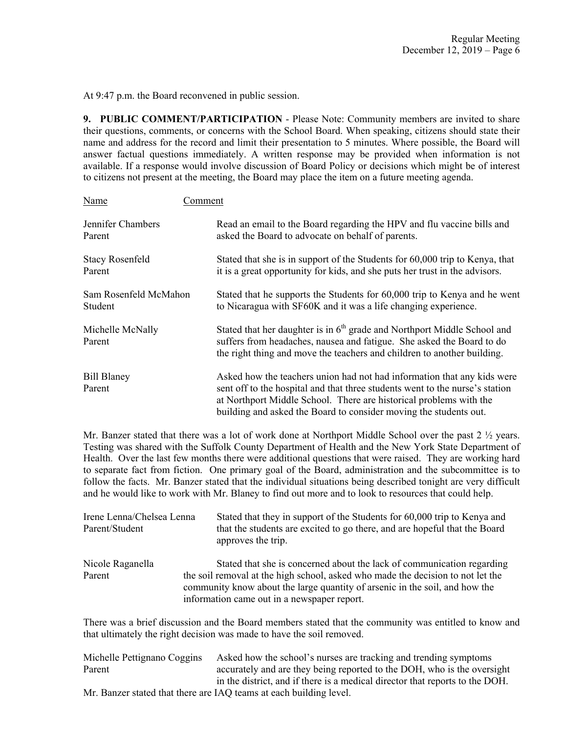At 9:47 p.m. the Board reconvened in public session.

**9. PUBLIC COMMENT/PARTICIPATION** - Please Note: Community members are invited to share their questions, comments, or concerns with the School Board. When speaking, citizens should state their name and address for the record and limit their presentation to 5 minutes. Where possible, the Board will answer factual questions immediately. A written response may be provided when information is not available. If a response would involve discussion of Board Policy or decisions which might be of interest to citizens not present at the meeting, the Board may place the item on a future meeting agenda.

| <b>Name</b>                  | Comment                                                                                                                                                                                                                                                                                            |
|------------------------------|----------------------------------------------------------------------------------------------------------------------------------------------------------------------------------------------------------------------------------------------------------------------------------------------------|
| Jennifer Chambers            | Read an email to the Board regarding the HPV and flu vaccine bills and                                                                                                                                                                                                                             |
| Parent                       | asked the Board to advocate on behalf of parents.                                                                                                                                                                                                                                                  |
| <b>Stacy Rosenfeld</b>       | Stated that she is in support of the Students for 60,000 trip to Kenya, that                                                                                                                                                                                                                       |
| Parent                       | it is a great opportunity for kids, and she puts her trust in the advisors.                                                                                                                                                                                                                        |
| Sam Rosenfeld McMahon        | Stated that he supports the Students for 60,000 trip to Kenya and he went                                                                                                                                                                                                                          |
| Student                      | to Nicaragua with SF60K and it was a life changing experience.                                                                                                                                                                                                                                     |
| Michelle McNally<br>Parent   | Stated that her daughter is in $6th$ grade and Northport Middle School and<br>suffers from headaches, nausea and fatigue. She asked the Board to do<br>the right thing and move the teachers and children to another building.                                                                     |
| <b>Bill Blaney</b><br>Parent | Asked how the teachers union had not had information that any kids were<br>sent off to the hospital and that three students went to the nurse's station<br>at Northport Middle School. There are historical problems with the<br>building and asked the Board to consider moving the students out. |

Mr. Banzer stated that there was a lot of work done at Northport Middle School over the past 2  $\frac{1}{2}$  years. Testing was shared with the Suffolk County Department of Health and the New York State Department of Health. Over the last few months there were additional questions that were raised. They are working hard to separate fact from fiction. One primary goal of the Board, administration and the subcommittee is to follow the facts. Mr. Banzer stated that the individual situations being described tonight are very difficult and he would like to work with Mr. Blaney to find out more and to look to resources that could help.

| Irene Lenna/Chelsea Lenna<br>Parent/Student | Stated that they in support of the Students for 60,000 trip to Kenya and<br>that the students are excited to go there, and are hopeful that the Board<br>approves the trip.                                   |  |
|---------------------------------------------|---------------------------------------------------------------------------------------------------------------------------------------------------------------------------------------------------------------|--|
| Nicole Raganella                            | Stated that she is concerned about the lack of communication regarding                                                                                                                                        |  |
| Parent                                      | the soil removal at the high school, asked who made the decision to not let the<br>community know about the large quantity of arsenic in the soil, and how the<br>information came out in a newspaper report. |  |

There was a brief discussion and the Board members stated that the community was entitled to know and that ultimately the right decision was made to have the soil removed.

| Michelle Pettignano Coggins | Asked how the school's nurses are tracking and trending symptoms             |
|-----------------------------|------------------------------------------------------------------------------|
| Parent                      | accurately and are they being reported to the DOH, who is the oversight      |
|                             | in the district, and if there is a medical director that reports to the DOH. |
|                             | Mr. Banzer stated that there are IAQ teams at each building level.           |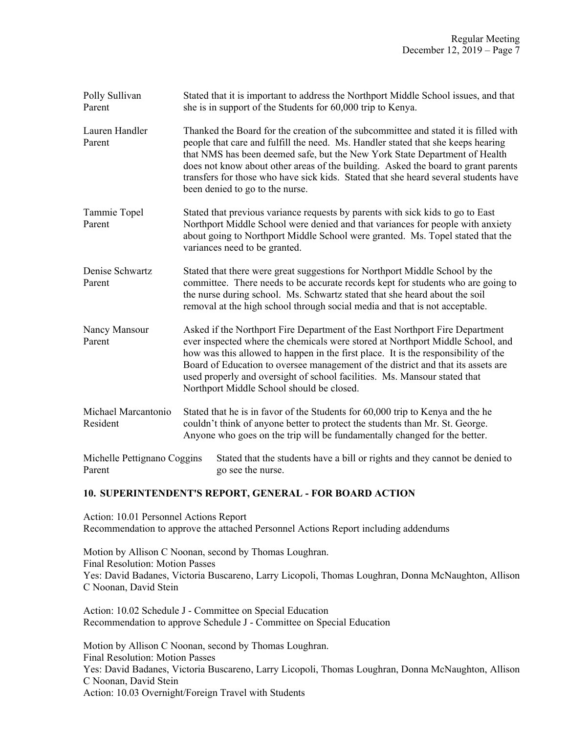| Polly Sullivan<br>Parent              | Stated that it is important to address the Northport Middle School issues, and that<br>she is in support of the Students for 60,000 trip to Kenya.                                                                                                                                                                                                                                                                                                                   |
|---------------------------------------|----------------------------------------------------------------------------------------------------------------------------------------------------------------------------------------------------------------------------------------------------------------------------------------------------------------------------------------------------------------------------------------------------------------------------------------------------------------------|
| Lauren Handler<br>Parent              | Thanked the Board for the creation of the subcommittee and stated it is filled with<br>people that care and fulfill the need. Ms. Handler stated that she keeps hearing<br>that NMS has been deemed safe, but the New York State Department of Health<br>does not know about other areas of the building. Asked the board to grant parents<br>transfers for those who have sick kids. Stated that she heard several students have<br>been denied to go to the nurse. |
| Tammie Topel<br>Parent                | Stated that previous variance requests by parents with sick kids to go to East<br>Northport Middle School were denied and that variances for people with anxiety<br>about going to Northport Middle School were granted. Ms. Topel stated that the<br>variances need to be granted.                                                                                                                                                                                  |
| Denise Schwartz<br>Parent             | Stated that there were great suggestions for Northport Middle School by the<br>committee. There needs to be accurate records kept for students who are going to<br>the nurse during school. Ms. Schwartz stated that she heard about the soil<br>removal at the high school through social media and that is not acceptable.                                                                                                                                         |
| Nancy Mansour<br>Parent               | Asked if the Northport Fire Department of the East Northport Fire Department<br>ever inspected where the chemicals were stored at Northport Middle School, and<br>how was this allowed to happen in the first place. It is the responsibility of the<br>Board of Education to oversee management of the district and that its assets are<br>used properly and oversight of school facilities. Ms. Mansour stated that<br>Northport Middle School should be closed.   |
| Michael Marcantonio<br>Resident       | Stated that he is in favor of the Students for 60,000 trip to Kenya and the he<br>couldn't think of anyone better to protect the students than Mr. St. George.<br>Anyone who goes on the trip will be fundamentally changed for the better.                                                                                                                                                                                                                          |
| Michelle Pettignano Coggins<br>Parent | Stated that the students have a bill or rights and they cannot be denied to<br>go see the nurse.                                                                                                                                                                                                                                                                                                                                                                     |

# **10. SUPERINTENDENT'S REPORT, GENERAL - FOR BOARD ACTION**

Action: 10.01 Personnel Actions Report Recommendation to approve the attached Personnel Actions Report including addendums

Motion by Allison C Noonan, second by Thomas Loughran. Final Resolution: Motion Passes Yes: David Badanes, Victoria Buscareno, Larry Licopoli, Thomas Loughran, Donna McNaughton, Allison C Noonan, David Stein

Action: 10.02 Schedule J - Committee on Special Education Recommendation to approve Schedule J - Committee on Special Education

Motion by Allison C Noonan, second by Thomas Loughran. Final Resolution: Motion Passes Yes: David Badanes, Victoria Buscareno, Larry Licopoli, Thomas Loughran, Donna McNaughton, Allison C Noonan, David Stein Action: 10.03 Overnight/Foreign Travel with Students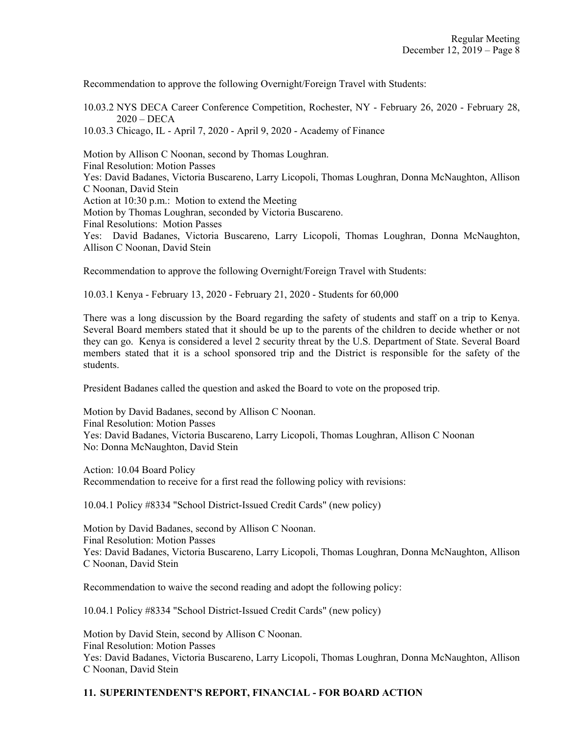Recommendation to approve the following Overnight/Foreign Travel with Students:

10.03.2 NYS DECA Career Conference Competition, Rochester, NY - February 26, 2020 - February 28, 2020 – DECA

10.03.3 Chicago, IL - April 7, 2020 - April 9, 2020 - Academy of Finance

Motion by Allison C Noonan, second by Thomas Loughran. Final Resolution: Motion Passes Yes: David Badanes, Victoria Buscareno, Larry Licopoli, Thomas Loughran, Donna McNaughton, Allison C Noonan, David Stein Action at 10:30 p.m.: Motion to extend the Meeting Motion by Thomas Loughran, seconded by Victoria Buscareno. Final Resolutions: Motion Passes Yes: David Badanes, Victoria Buscareno, Larry Licopoli, Thomas Loughran, Donna McNaughton, Allison C Noonan, David Stein

Recommendation to approve the following Overnight/Foreign Travel with Students:

10.03.1 Kenya - February 13, 2020 - February 21, 2020 - Students for 60,000

There was a long discussion by the Board regarding the safety of students and staff on a trip to Kenya. Several Board members stated that it should be up to the parents of the children to decide whether or not they can go. Kenya is considered a level 2 security threat by the U.S. Department of State. Several Board members stated that it is a school sponsored trip and the District is responsible for the safety of the students.

President Badanes called the question and asked the Board to vote on the proposed trip.

Motion by David Badanes, second by Allison C Noonan. Final Resolution: Motion Passes Yes: David Badanes, Victoria Buscareno, Larry Licopoli, Thomas Loughran, Allison C Noonan No: Donna McNaughton, David Stein

Action: 10.04 Board Policy Recommendation to receive for a first read the following policy with revisions:

10.04.1 Policy #8334 "School District-Issued Credit Cards" (new policy)

Motion by David Badanes, second by Allison C Noonan. Final Resolution: Motion Passes Yes: David Badanes, Victoria Buscareno, Larry Licopoli, Thomas Loughran, Donna McNaughton, Allison C Noonan, David Stein

Recommendation to waive the second reading and adopt the following policy:

10.04.1 Policy #8334 "School District-Issued Credit Cards" (new policy)

Motion by David Stein, second by Allison C Noonan. Final Resolution: Motion Passes Yes: David Badanes, Victoria Buscareno, Larry Licopoli, Thomas Loughran, Donna McNaughton, Allison C Noonan, David Stein

# **11. SUPERINTENDENT'S REPORT, FINANCIAL - FOR BOARD ACTION**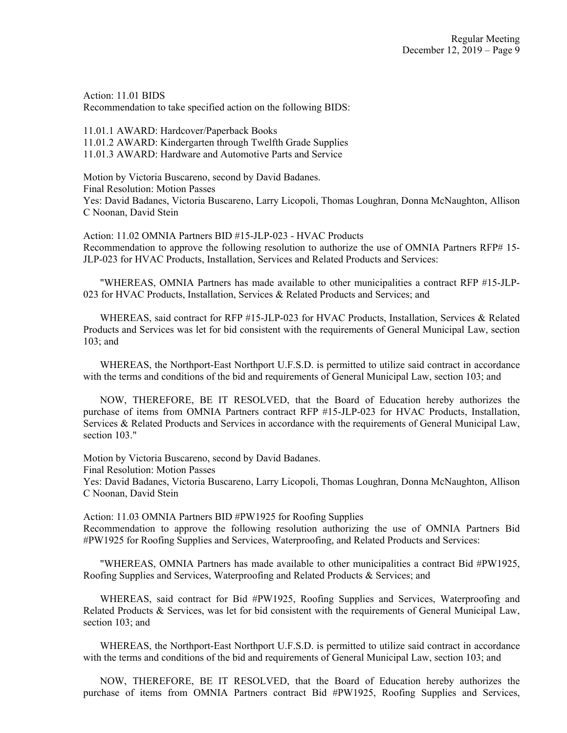Action: 11.01 BIDS Recommendation to take specified action on the following BIDS:

11.01.1 AWARD: Hardcover/Paperback Books 11.01.2 AWARD: Kindergarten through Twelfth Grade Supplies 11.01.3 AWARD: Hardware and Automotive Parts and Service

Motion by Victoria Buscareno, second by David Badanes. Final Resolution: Motion Passes Yes: David Badanes, Victoria Buscareno, Larry Licopoli, Thomas Loughran, Donna McNaughton, Allison C Noonan, David Stein

Action: 11.02 OMNIA Partners BID #15-JLP-023 - HVAC Products Recommendation to approve the following resolution to authorize the use of OMNIA Partners RFP# 15- JLP-023 for HVAC Products, Installation, Services and Related Products and Services:

"WHEREAS, OMNIA Partners has made available to other municipalities a contract RFP #15-JLP-023 for HVAC Products, Installation, Services & Related Products and Services; and

WHEREAS, said contract for RFP #15-JLP-023 for HVAC Products, Installation, Services & Related Products and Services was let for bid consistent with the requirements of General Municipal Law, section 103; and

WHEREAS, the Northport-East Northport U.F.S.D. is permitted to utilize said contract in accordance with the terms and conditions of the bid and requirements of General Municipal Law, section 103; and

NOW, THEREFORE, BE IT RESOLVED, that the Board of Education hereby authorizes the purchase of items from OMNIA Partners contract RFP #15-JLP-023 for HVAC Products, Installation, Services & Related Products and Services in accordance with the requirements of General Municipal Law, section 103."

Motion by Victoria Buscareno, second by David Badanes.

Final Resolution: Motion Passes

Yes: David Badanes, Victoria Buscareno, Larry Licopoli, Thomas Loughran, Donna McNaughton, Allison C Noonan, David Stein

Action: 11.03 OMNIA Partners BID #PW1925 for Roofing Supplies Recommendation to approve the following resolution authorizing the use of OMNIA Partners Bid #PW1925 for Roofing Supplies and Services, Waterproofing, and Related Products and Services:

"WHEREAS, OMNIA Partners has made available to other municipalities a contract Bid #PW1925, Roofing Supplies and Services, Waterproofing and Related Products & Services; and

WHEREAS, said contract for Bid #PW1925, Roofing Supplies and Services, Waterproofing and Related Products & Services, was let for bid consistent with the requirements of General Municipal Law, section 103; and

WHEREAS, the Northport-East Northport U.F.S.D. is permitted to utilize said contract in accordance with the terms and conditions of the bid and requirements of General Municipal Law, section 103; and

NOW, THEREFORE, BE IT RESOLVED, that the Board of Education hereby authorizes the purchase of items from OMNIA Partners contract Bid #PW1925, Roofing Supplies and Services,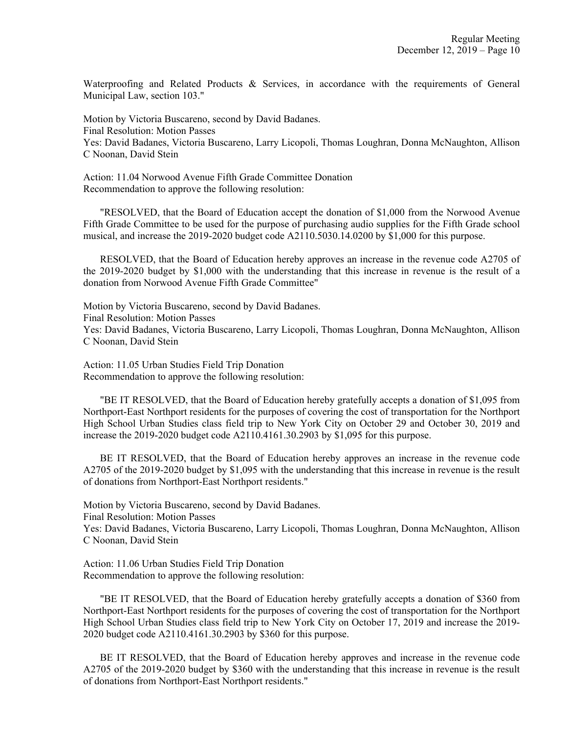Waterproofing and Related Products & Services, in accordance with the requirements of General Municipal Law, section 103."

Motion by Victoria Buscareno, second by David Badanes. Final Resolution: Motion Passes Yes: David Badanes, Victoria Buscareno, Larry Licopoli, Thomas Loughran, Donna McNaughton, Allison C Noonan, David Stein

Action: 11.04 Norwood Avenue Fifth Grade Committee Donation Recommendation to approve the following resolution:

"RESOLVED, that the Board of Education accept the donation of \$1,000 from the Norwood Avenue Fifth Grade Committee to be used for the purpose of purchasing audio supplies for the Fifth Grade school musical, and increase the 2019-2020 budget code A2110.5030.14.0200 by \$1,000 for this purpose.

RESOLVED, that the Board of Education hereby approves an increase in the revenue code A2705 of the 2019-2020 budget by \$1,000 with the understanding that this increase in revenue is the result of a donation from Norwood Avenue Fifth Grade Committee"

Motion by Victoria Buscareno, second by David Badanes. Final Resolution: Motion Passes Yes: David Badanes, Victoria Buscareno, Larry Licopoli, Thomas Loughran, Donna McNaughton, Allison C Noonan, David Stein

Action: 11.05 Urban Studies Field Trip Donation Recommendation to approve the following resolution:

"BE IT RESOLVED, that the Board of Education hereby gratefully accepts a donation of \$1,095 from Northport-East Northport residents for the purposes of covering the cost of transportation for the Northport High School Urban Studies class field trip to New York City on October 29 and October 30, 2019 and increase the 2019-2020 budget code A2110.4161.30.2903 by \$1,095 for this purpose.

BE IT RESOLVED, that the Board of Education hereby approves an increase in the revenue code A2705 of the 2019-2020 budget by \$1,095 with the understanding that this increase in revenue is the result of donations from Northport-East Northport residents."

Motion by Victoria Buscareno, second by David Badanes. Final Resolution: Motion Passes Yes: David Badanes, Victoria Buscareno, Larry Licopoli, Thomas Loughran, Donna McNaughton, Allison C Noonan, David Stein

Action: 11.06 Urban Studies Field Trip Donation Recommendation to approve the following resolution:

"BE IT RESOLVED, that the Board of Education hereby gratefully accepts a donation of \$360 from Northport-East Northport residents for the purposes of covering the cost of transportation for the Northport High School Urban Studies class field trip to New York City on October 17, 2019 and increase the 2019- 2020 budget code A2110.4161.30.2903 by \$360 for this purpose.

BE IT RESOLVED, that the Board of Education hereby approves and increase in the revenue code A2705 of the 2019-2020 budget by \$360 with the understanding that this increase in revenue is the result of donations from Northport-East Northport residents."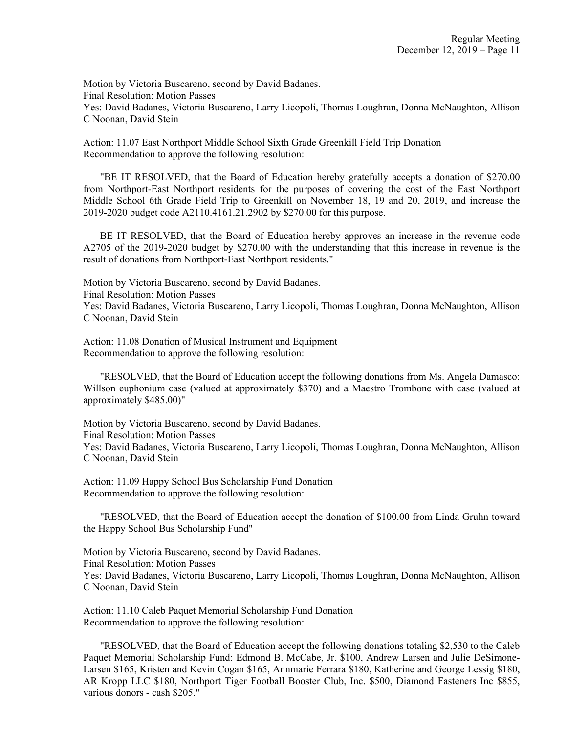Motion by Victoria Buscareno, second by David Badanes. Final Resolution: Motion Passes Yes: David Badanes, Victoria Buscareno, Larry Licopoli, Thomas Loughran, Donna McNaughton, Allison C Noonan, David Stein

Action: 11.07 East Northport Middle School Sixth Grade Greenkill Field Trip Donation Recommendation to approve the following resolution:

"BE IT RESOLVED, that the Board of Education hereby gratefully accepts a donation of \$270.00 from Northport-East Northport residents for the purposes of covering the cost of the East Northport Middle School 6th Grade Field Trip to Greenkill on November 18, 19 and 20, 2019, and increase the 2019-2020 budget code A2110.4161.21.2902 by \$270.00 for this purpose.

BE IT RESOLVED, that the Board of Education hereby approves an increase in the revenue code A2705 of the 2019-2020 budget by \$270.00 with the understanding that this increase in revenue is the result of donations from Northport-East Northport residents."

Motion by Victoria Buscareno, second by David Badanes.

Final Resolution: Motion Passes

Yes: David Badanes, Victoria Buscareno, Larry Licopoli, Thomas Loughran, Donna McNaughton, Allison C Noonan, David Stein

Action: 11.08 Donation of Musical Instrument and Equipment Recommendation to approve the following resolution:

"RESOLVED, that the Board of Education accept the following donations from Ms. Angela Damasco: Willson euphonium case (valued at approximately \$370) and a Maestro Trombone with case (valued at approximately \$485.00)"

Motion by Victoria Buscareno, second by David Badanes. Final Resolution: Motion Passes Yes: David Badanes, Victoria Buscareno, Larry Licopoli, Thomas Loughran, Donna McNaughton, Allison C Noonan, David Stein

Action: 11.09 Happy School Bus Scholarship Fund Donation Recommendation to approve the following resolution:

"RESOLVED, that the Board of Education accept the donation of \$100.00 from Linda Gruhn toward the Happy School Bus Scholarship Fund"

Motion by Victoria Buscareno, second by David Badanes. Final Resolution: Motion Passes Yes: David Badanes, Victoria Buscareno, Larry Licopoli, Thomas Loughran, Donna McNaughton, Allison C Noonan, David Stein

Action: 11.10 Caleb Paquet Memorial Scholarship Fund Donation Recommendation to approve the following resolution:

"RESOLVED, that the Board of Education accept the following donations totaling \$2,530 to the Caleb Paquet Memorial Scholarship Fund: Edmond B. McCabe, Jr. \$100, Andrew Larsen and Julie DeSimone-Larsen \$165, Kristen and Kevin Cogan \$165, Annmarie Ferrara \$180, Katherine and George Lessig \$180, AR Kropp LLC \$180, Northport Tiger Football Booster Club, Inc. \$500, Diamond Fasteners Inc \$855, various donors - cash \$205."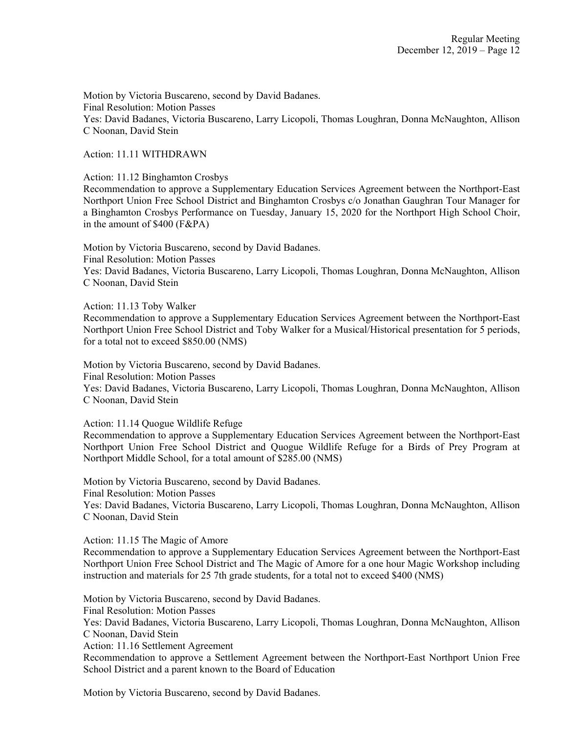Motion by Victoria Buscareno, second by David Badanes. Final Resolution: Motion Passes Yes: David Badanes, Victoria Buscareno, Larry Licopoli, Thomas Loughran, Donna McNaughton, Allison C Noonan, David Stein

#### Action: 11.11 WITHDRAWN

Action: 11.12 Binghamton Crosbys

Recommendation to approve a Supplementary Education Services Agreement between the Northport-East Northport Union Free School District and Binghamton Crosbys c/o Jonathan Gaughran Tour Manager for a Binghamton Crosbys Performance on Tuesday, January 15, 2020 for the Northport High School Choir, in the amount of \$400 (F&PA)

Motion by Victoria Buscareno, second by David Badanes. Final Resolution: Motion Passes Yes: David Badanes, Victoria Buscareno, Larry Licopoli, Thomas Loughran, Donna McNaughton, Allison C Noonan, David Stein

#### Action: 11.13 Toby Walker

Recommendation to approve a Supplementary Education Services Agreement between the Northport-East Northport Union Free School District and Toby Walker for a Musical/Historical presentation for 5 periods, for a total not to exceed \$850.00 (NMS)

Motion by Victoria Buscareno, second by David Badanes. Final Resolution: Motion Passes Yes: David Badanes, Victoria Buscareno, Larry Licopoli, Thomas Loughran, Donna McNaughton, Allison C Noonan, David Stein

Action: 11.14 Quogue Wildlife Refuge

Recommendation to approve a Supplementary Education Services Agreement between the Northport-East Northport Union Free School District and Quogue Wildlife Refuge for a Birds of Prey Program at Northport Middle School, for a total amount of \$285.00 (NMS)

Motion by Victoria Buscareno, second by David Badanes. Final Resolution: Motion Passes Yes: David Badanes, Victoria Buscareno, Larry Licopoli, Thomas Loughran, Donna McNaughton, Allison

C Noonan, David Stein

Action: 11.15 The Magic of Amore

Recommendation to approve a Supplementary Education Services Agreement between the Northport-East Northport Union Free School District and The Magic of Amore for a one hour Magic Workshop including instruction and materials for 25 7th grade students, for a total not to exceed \$400 (NMS)

Motion by Victoria Buscareno, second by David Badanes.

Final Resolution: Motion Passes

Yes: David Badanes, Victoria Buscareno, Larry Licopoli, Thomas Loughran, Donna McNaughton, Allison C Noonan, David Stein

Action: 11.16 Settlement Agreement

Recommendation to approve a Settlement Agreement between the Northport-East Northport Union Free School District and a parent known to the Board of Education

Motion by Victoria Buscareno, second by David Badanes.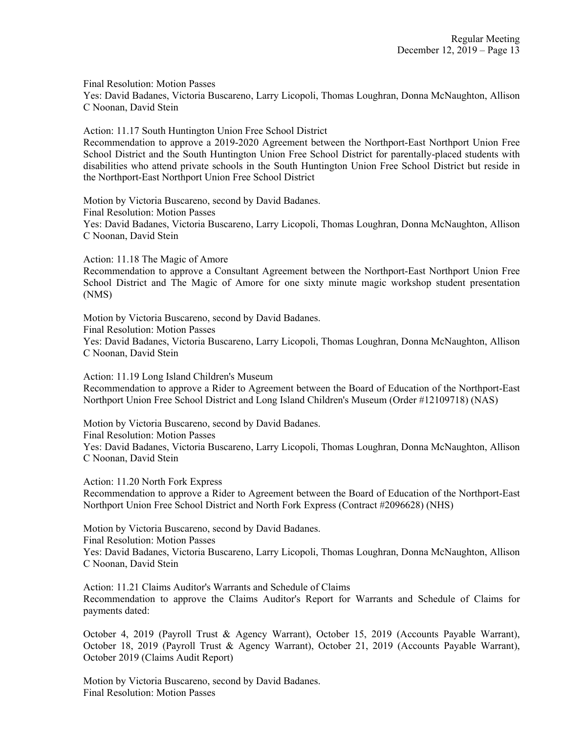Final Resolution: Motion Passes

Yes: David Badanes, Victoria Buscareno, Larry Licopoli, Thomas Loughran, Donna McNaughton, Allison C Noonan, David Stein

Action: 11.17 South Huntington Union Free School District

Recommendation to approve a 2019-2020 Agreement between the Northport-East Northport Union Free School District and the South Huntington Union Free School District for parentally-placed students with disabilities who attend private schools in the South Huntington Union Free School District but reside in the Northport-East Northport Union Free School District

Motion by Victoria Buscareno, second by David Badanes.

Final Resolution: Motion Passes

Yes: David Badanes, Victoria Buscareno, Larry Licopoli, Thomas Loughran, Donna McNaughton, Allison C Noonan, David Stein

Action: 11.18 The Magic of Amore

Recommendation to approve a Consultant Agreement between the Northport-East Northport Union Free School District and The Magic of Amore for one sixty minute magic workshop student presentation (NMS)

Motion by Victoria Buscareno, second by David Badanes. Final Resolution: Motion Passes Yes: David Badanes, Victoria Buscareno, Larry Licopoli, Thomas Loughran, Donna McNaughton, Allison C Noonan, David Stein

Action: 11.19 Long Island Children's Museum Recommendation to approve a Rider to Agreement between the Board of Education of the Northport-East Northport Union Free School District and Long Island Children's Museum (Order #12109718) (NAS)

Motion by Victoria Buscareno, second by David Badanes. Final Resolution: Motion Passes Yes: David Badanes, Victoria Buscareno, Larry Licopoli, Thomas Loughran, Donna McNaughton, Allison C Noonan, David Stein

Action: 11.20 North Fork Express

Recommendation to approve a Rider to Agreement between the Board of Education of the Northport-East Northport Union Free School District and North Fork Express (Contract #2096628) (NHS)

Motion by Victoria Buscareno, second by David Badanes. Final Resolution: Motion Passes Yes: David Badanes, Victoria Buscareno, Larry Licopoli, Thomas Loughran, Donna McNaughton, Allison C Noonan, David Stein

Action: 11.21 Claims Auditor's Warrants and Schedule of Claims Recommendation to approve the Claims Auditor's Report for Warrants and Schedule of Claims for payments dated:

October 4, 2019 (Payroll Trust & Agency Warrant), October 15, 2019 (Accounts Payable Warrant), October 18, 2019 (Payroll Trust & Agency Warrant), October 21, 2019 (Accounts Payable Warrant), October 2019 (Claims Audit Report)

Motion by Victoria Buscareno, second by David Badanes. Final Resolution: Motion Passes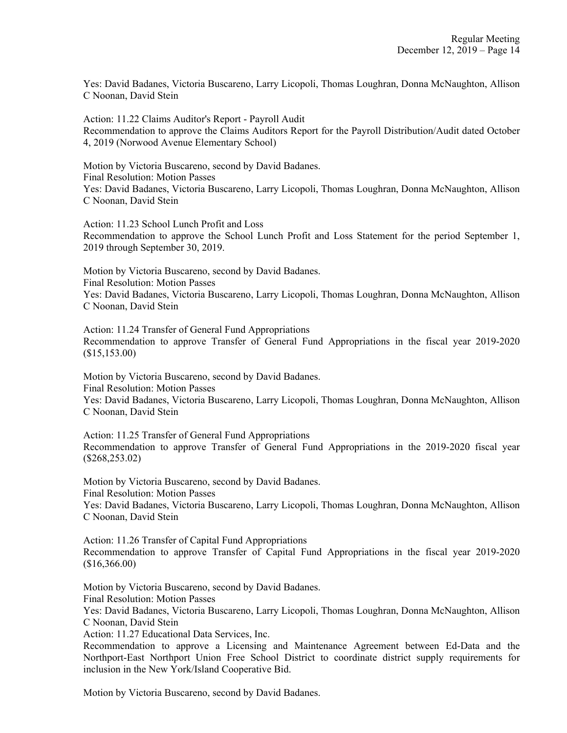Yes: David Badanes, Victoria Buscareno, Larry Licopoli, Thomas Loughran, Donna McNaughton, Allison C Noonan, David Stein

Action: 11.22 Claims Auditor's Report - Payroll Audit Recommendation to approve the Claims Auditors Report for the Payroll Distribution/Audit dated October 4, 2019 (Norwood Avenue Elementary School)

Motion by Victoria Buscareno, second by David Badanes. Final Resolution: Motion Passes Yes: David Badanes, Victoria Buscareno, Larry Licopoli, Thomas Loughran, Donna McNaughton, Allison C Noonan, David Stein

Action: 11.23 School Lunch Profit and Loss Recommendation to approve the School Lunch Profit and Loss Statement for the period September 1, 2019 through September 30, 2019.

Motion by Victoria Buscareno, second by David Badanes. Final Resolution: Motion Passes Yes: David Badanes, Victoria Buscareno, Larry Licopoli, Thomas Loughran, Donna McNaughton, Allison C Noonan, David Stein

Action: 11.24 Transfer of General Fund Appropriations Recommendation to approve Transfer of General Fund Appropriations in the fiscal year 2019-2020 (\$15,153.00)

Motion by Victoria Buscareno, second by David Badanes. Final Resolution: Motion Passes Yes: David Badanes, Victoria Buscareno, Larry Licopoli, Thomas Loughran, Donna McNaughton, Allison C Noonan, David Stein

Action: 11.25 Transfer of General Fund Appropriations Recommendation to approve Transfer of General Fund Appropriations in the 2019-2020 fiscal year (\$268,253.02)

Motion by Victoria Buscareno, second by David Badanes. Final Resolution: Motion Passes

Yes: David Badanes, Victoria Buscareno, Larry Licopoli, Thomas Loughran, Donna McNaughton, Allison C Noonan, David Stein

Action: 11.26 Transfer of Capital Fund Appropriations Recommendation to approve Transfer of Capital Fund Appropriations in the fiscal year 2019-2020 (\$16,366.00)

Motion by Victoria Buscareno, second by David Badanes.

Final Resolution: Motion Passes

Yes: David Badanes, Victoria Buscareno, Larry Licopoli, Thomas Loughran, Donna McNaughton, Allison C Noonan, David Stein

Action: 11.27 Educational Data Services, Inc.

Recommendation to approve a Licensing and Maintenance Agreement between Ed-Data and the Northport-East Northport Union Free School District to coordinate district supply requirements for inclusion in the New York/Island Cooperative Bid.

Motion by Victoria Buscareno, second by David Badanes.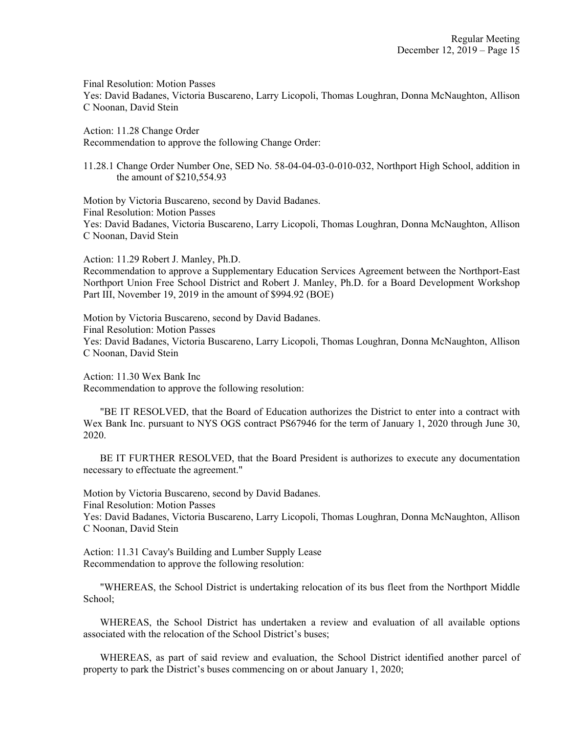Final Resolution: Motion Passes

Yes: David Badanes, Victoria Buscareno, Larry Licopoli, Thomas Loughran, Donna McNaughton, Allison C Noonan, David Stein

Action: 11.28 Change Order Recommendation to approve the following Change Order:

11.28.1 Change Order Number One, SED No. 58-04-04-03-0-010-032, Northport High School, addition in the amount of \$210,554.93

Motion by Victoria Buscareno, second by David Badanes. Final Resolution: Motion Passes Yes: David Badanes, Victoria Buscareno, Larry Licopoli, Thomas Loughran, Donna McNaughton, Allison C Noonan, David Stein

Action: 11.29 Robert J. Manley, Ph.D.

Recommendation to approve a Supplementary Education Services Agreement between the Northport-East Northport Union Free School District and Robert J. Manley, Ph.D. for a Board Development Workshop Part III, November 19, 2019 in the amount of \$994.92 (BOE)

Motion by Victoria Buscareno, second by David Badanes. Final Resolution: Motion Passes Yes: David Badanes, Victoria Buscareno, Larry Licopoli, Thomas Loughran, Donna McNaughton, Allison C Noonan, David Stein

Action: 11.30 Wex Bank Inc

Recommendation to approve the following resolution:

"BE IT RESOLVED, that the Board of Education authorizes the District to enter into a contract with Wex Bank Inc. pursuant to NYS OGS contract PS67946 for the term of January 1, 2020 through June 30, 2020.

BE IT FURTHER RESOLVED, that the Board President is authorizes to execute any documentation necessary to effectuate the agreement."

Motion by Victoria Buscareno, second by David Badanes.

Final Resolution: Motion Passes

Yes: David Badanes, Victoria Buscareno, Larry Licopoli, Thomas Loughran, Donna McNaughton, Allison C Noonan, David Stein

Action: 11.31 Cavay's Building and Lumber Supply Lease Recommendation to approve the following resolution:

"WHEREAS, the School District is undertaking relocation of its bus fleet from the Northport Middle School;

WHEREAS, the School District has undertaken a review and evaluation of all available options associated with the relocation of the School District's buses;

WHEREAS, as part of said review and evaluation, the School District identified another parcel of property to park the District's buses commencing on or about January 1, 2020;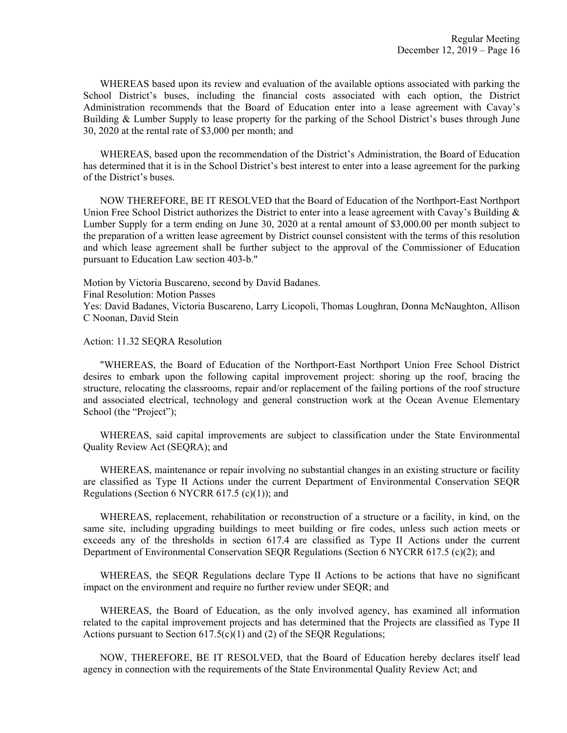WHEREAS based upon its review and evaluation of the available options associated with parking the School District's buses, including the financial costs associated with each option, the District Administration recommends that the Board of Education enter into a lease agreement with Cavay's Building & Lumber Supply to lease property for the parking of the School District's buses through June 30, 2020 at the rental rate of \$3,000 per month; and

WHEREAS, based upon the recommendation of the District's Administration, the Board of Education has determined that it is in the School District's best interest to enter into a lease agreement for the parking of the District's buses.

NOW THEREFORE, BE IT RESOLVED that the Board of Education of the Northport-East Northport Union Free School District authorizes the District to enter into a lease agreement with Cavay's Building  $\&$ Lumber Supply for a term ending on June 30, 2020 at a rental amount of \$3,000.00 per month subject to the preparation of a written lease agreement by District counsel consistent with the terms of this resolution and which lease agreement shall be further subject to the approval of the Commissioner of Education pursuant to Education Law section 403-b."

Motion by Victoria Buscareno, second by David Badanes.

Final Resolution: Motion Passes

Yes: David Badanes, Victoria Buscareno, Larry Licopoli, Thomas Loughran, Donna McNaughton, Allison C Noonan, David Stein

#### Action: 11.32 SEQRA Resolution

"WHEREAS, the Board of Education of the Northport-East Northport Union Free School District desires to embark upon the following capital improvement project: shoring up the roof, bracing the structure, relocating the classrooms, repair and/or replacement of the failing portions of the roof structure and associated electrical, technology and general construction work at the Ocean Avenue Elementary School (the "Project");

WHEREAS, said capital improvements are subject to classification under the State Environmental Quality Review Act (SEQRA); and

WHEREAS, maintenance or repair involving no substantial changes in an existing structure or facility are classified as Type II Actions under the current Department of Environmental Conservation SEQR Regulations (Section 6 NYCRR  $617.5$  (c)(1)); and

WHEREAS, replacement, rehabilitation or reconstruction of a structure or a facility, in kind, on the same site, including upgrading buildings to meet building or fire codes, unless such action meets or exceeds any of the thresholds in section 617.4 are classified as Type II Actions under the current Department of Environmental Conservation SEQR Regulations (Section 6 NYCRR 617.5 (c)(2); and

WHEREAS, the SEQR Regulations declare Type II Actions to be actions that have no significant impact on the environment and require no further review under SEQR; and

WHEREAS, the Board of Education, as the only involved agency, has examined all information related to the capital improvement projects and has determined that the Projects are classified as Type II Actions pursuant to Section  $617.5(c)(1)$  and (2) of the SEQR Regulations;

NOW, THEREFORE, BE IT RESOLVED, that the Board of Education hereby declares itself lead agency in connection with the requirements of the State Environmental Quality Review Act; and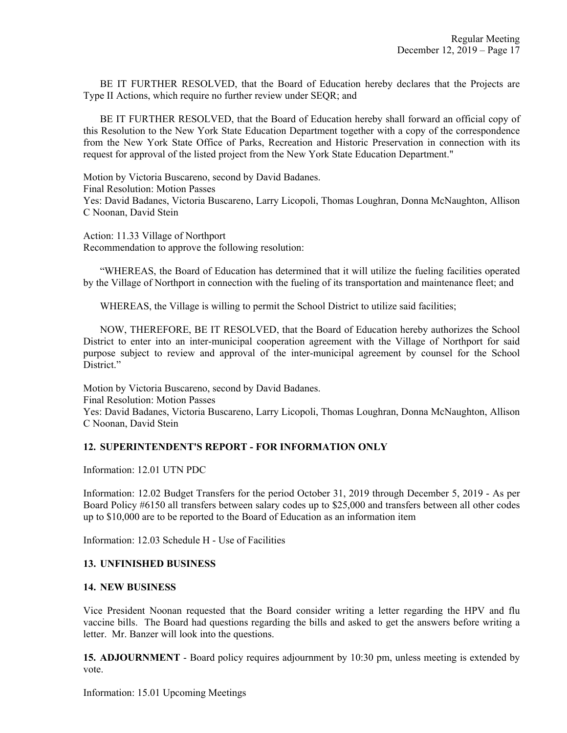BE IT FURTHER RESOLVED, that the Board of Education hereby declares that the Projects are Type II Actions, which require no further review under SEQR; and

BE IT FURTHER RESOLVED, that the Board of Education hereby shall forward an official copy of this Resolution to the New York State Education Department together with a copy of the correspondence from the New York State Office of Parks, Recreation and Historic Preservation in connection with its request for approval of the listed project from the New York State Education Department."

Motion by Victoria Buscareno, second by David Badanes. Final Resolution: Motion Passes Yes: David Badanes, Victoria Buscareno, Larry Licopoli, Thomas Loughran, Donna McNaughton, Allison C Noonan, David Stein

Action: 11.33 Village of Northport Recommendation to approve the following resolution:

"WHEREAS, the Board of Education has determined that it will utilize the fueling facilities operated by the Village of Northport in connection with the fueling of its transportation and maintenance fleet; and

WHEREAS, the Village is willing to permit the School District to utilize said facilities;

NOW, THEREFORE, BE IT RESOLVED, that the Board of Education hereby authorizes the School District to enter into an inter-municipal cooperation agreement with the Village of Northport for said purpose subject to review and approval of the inter-municipal agreement by counsel for the School District."

Motion by Victoria Buscareno, second by David Badanes. Final Resolution: Motion Passes Yes: David Badanes, Victoria Buscareno, Larry Licopoli, Thomas Loughran, Donna McNaughton, Allison C Noonan, David Stein

# **12. SUPERINTENDENT'S REPORT - FOR INFORMATION ONLY**

Information: 12.01 UTN PDC

Information: 12.02 Budget Transfers for the period October 31, 2019 through December 5, 2019 - As per Board Policy #6150 all transfers between salary codes up to \$25,000 and transfers between all other codes up to \$10,000 are to be reported to the Board of Education as an information item

Information: 12.03 Schedule H - Use of Facilities

#### **13. UNFINISHED BUSINESS**

#### **14. NEW BUSINESS**

Vice President Noonan requested that the Board consider writing a letter regarding the HPV and flu vaccine bills. The Board had questions regarding the bills and asked to get the answers before writing a letter. Mr. Banzer will look into the questions.

**15. ADJOURNMENT** - Board policy requires adjournment by 10:30 pm, unless meeting is extended by vote.

Information: 15.01 Upcoming Meetings